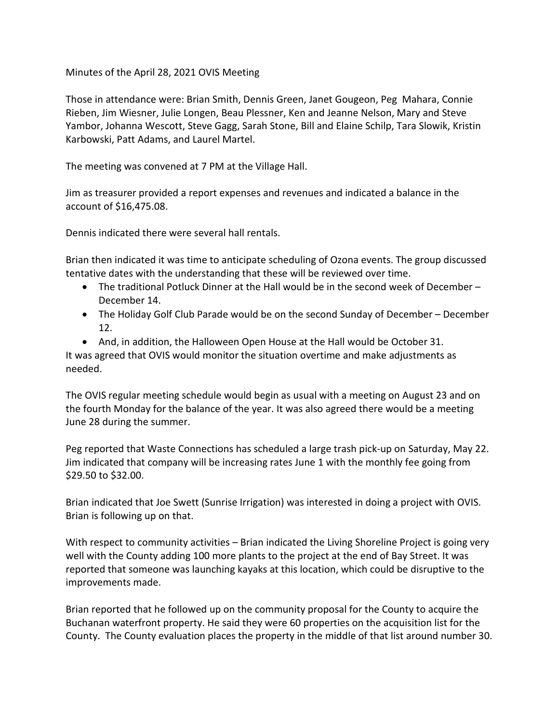Minutes of the April 28, 2021 OVIS Meeting

Those in attendance were: Brian Smith, Dennis Green, Janet Gougeon, Peg Mahara, Connie Rieben, Jim Wiesner, Julie Longen, Beau Plessner, Ken and Jeanne Nelson, Mary and Steve Yambor, Johanna Wescott, Steve Gagg, Sarah Stone, Bill and Elaine Schilp, Tara Slowik, Kristin Karbowski, Patt Adams, and Laurel Martel.

The meeting was convened at 7 PM at the Village Hall.

Jim as treasurer provided a report expenses and revenues and indicated a balance in the account of \$16,475.08.

Dennis indicated there were several hall rentals.

Brian then indicated it was time to anticipate scheduling of Ozona events. The group discussed tentative dates with the understanding that these will be reviewed over time.

- The traditional Potluck Dinner at the Hall would be in the second week of December December 14.
- The Holiday Golf Club Parade would be on the second Sunday of December December 12.
- And, in addition, the Halloween Open House at the Hall would be October 31.

It was agreed that OVIS would monitor the situation overtime and make adjustments as needed.

The OVIS regular meeting schedule would begin as usual with a meeting on August 23 and on the fourth Monday for the balance of the year. It was also agreed there would be a meeting June 28 during the summer.

Peg reported that Waste Connections has scheduled a large trash pick-up on Saturday, May 22. Jim indicated that company will be increasing rates June 1 with the monthly fee going from \$29.50 to \$32.00.

Brian indicated that Joe Swett (Sunrise Irrigation) was interested in doing a project with OVIS. Brian is following up on that.

With respect to community activities – Brian indicated the Living Shoreline Project is going very well with the County adding 100 more plants to the project at the end of Bay Street. It was reported that someone was launching kayaks at this location, which could be disruptive to the improvements made.

Brian reported that he followed up on the community proposal for the County to acquire the Buchanan waterfront property. He said they were 60 properties on the acquisition list for the County. The County evaluation places the property in the middle of that list around number 30.